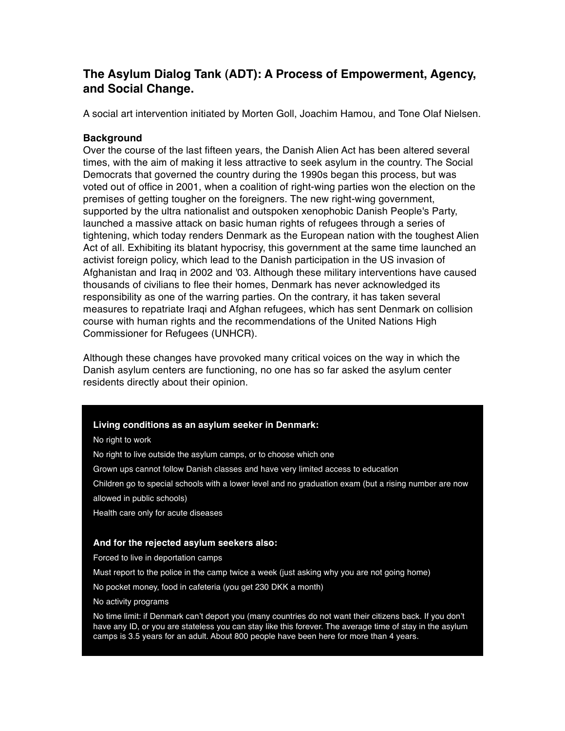# **The Asylum Dialog Tank (ADT): A Process of Empowerment, Agency, and Social Change.**

A social art intervention initiated by Morten Goll, Joachim Hamou, and Tone Olaf Nielsen.

# **Background**

Over the course of the last fifteen years, the Danish Alien Act has been altered several times, with the aim of making it less attractive to seek asylum in the country. The Social Democrats that governed the country during the 1990s began this process, but was voted out of office in 2001, when a coalition of right-wing parties won the election on the premises of getting tougher on the foreigners. The new right-wing government, supported by the ultra nationalist and outspoken xenophobic Danish People's Party, launched a massive attack on basic human rights of refugees through a series of tightening, which today renders Denmark as the European nation with the toughest Alien Act of all. Exhibiting its blatant hypocrisy, this government at the same time launched an activist foreign policy, which lead to the Danish participation in the US invasion of Afghanistan and Iraq in 2002 and '03. Although these military interventions have caused thousands of civilians to flee their homes, Denmark has never acknowledged its responsibility as one of the warring parties. On the contrary, it has taken several measures to repatriate Iraqi and Afghan refugees, which has sent Denmark on collision course with human rights and the recommendations of the United Nations High Commissioner for Refugees (UNHCR).

Although these changes have provoked many critical voices on the way in which the Danish asylum centers are functioning, no one has so far asked the asylum center residents directly about their opinion.

#### **Living conditions as an asylum seeker in Denmark:**

No right to work

- No right to live outside the asylum camps, or to choose which one
- Grown ups cannot follow Danish classes and have very limited access to education
- Children go to special schools with a lower level and no graduation exam (but a rising number are now allowed in public schools)
- Health care only for acute diseases

#### **And for the rejected asylum seekers also:**

Forced to live in deportation camps

Must report to the police in the camp twice a week (just asking why you are not going home)

No pocket money, food in cafeteria (you get 230 DKK a month)

No activity programs

No time limit: if Denmark can't deport you (many countries do not want their citizens back. If you don't have any ID, or you are stateless you can stay like this forever. The average time of stay in the asylum camps is 3.5 years for an adult. About 800 people have been here for more than 4 years.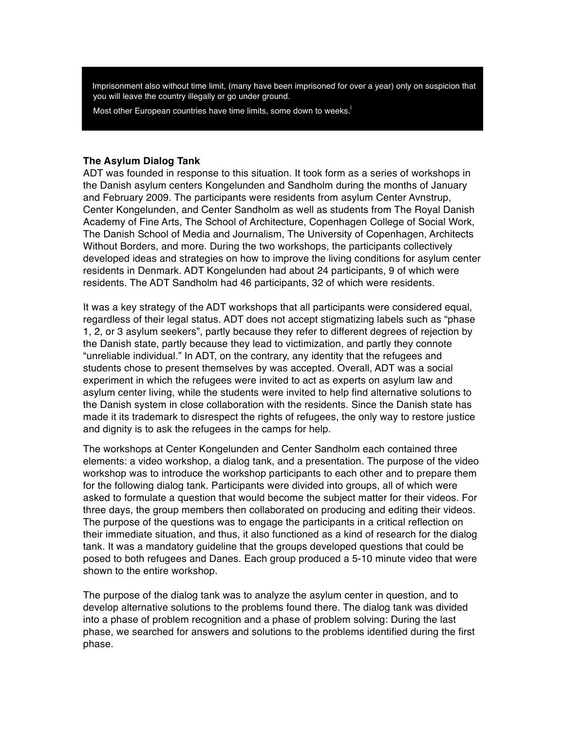Imprisonment also without time limit, (many have been imprisoned for over a year) only on suspicion that you will leave the country illegally or go under ground.

Most other European countries have time limits, some down to weeks.<sup>1</sup>

#### **The Asylum Dialog Tank**

ADT was founded in response to this situation. It took form as a series of workshops in the Danish asylum centers Kongelunden and Sandholm during the months of January and February 2009. The participants were residents from asylum Center Avnstrup, Center Kongelunden, and Center Sandholm as well as students from The Royal Danish Academy of Fine Arts, The School of Architecture, Copenhagen College of Social Work, The Danish School of Media and Journalism, The University of Copenhagen, Architects Without Borders, and more. During the two workshops, the participants collectively developed ideas and strategies on how to improve the living conditions for asylum center residents in Denmark. ADT Kongelunden had about 24 participants, 9 of which were residents. The ADT Sandholm had 46 participants, 32 of which were residents.

It was a key strategy of the ADT workshops that all participants were considered equal, regardless of their legal status. ADT does not accept stigmatizing labels such as "phase 1, 2, or 3 asylum seekers", partly because they refer to different degrees of rejection by the Danish state, partly because they lead to victimization, and partly they connote "unreliable individual." In ADT, on the contrary, any identity that the refugees and students chose to present themselves by was accepted. Overall, ADT was a social experiment in which the refugees were invited to act as experts on asylum law and asylum center living, while the students were invited to help find alternative solutions to the Danish system in close collaboration with the residents. Since the Danish state has made it its trademark to disrespect the rights of refugees, the only way to restore justice and dignity is to ask the refugees in the camps for help.

The workshops at Center Kongelunden and Center Sandholm each contained three elements: a video workshop, a dialog tank, and a presentation. The purpose of the video workshop was to introduce the workshop participants to each other and to prepare them for the following dialog tank. Participants were divided into groups, all of which were asked to formulate a question that would become the subject matter for their videos. For three days, the group members then collaborated on producing and editing their videos. The purpose of the questions was to engage the participants in a critical reflection on their immediate situation, and thus, it also functioned as a kind of research for the dialog tank. It was a mandatory guideline that the groups developed questions that could be posed to both refugees and Danes. Each group produced a 5-10 minute video that were shown to the entire workshop.

The purpose of the dialog tank was to analyze the asylum center in question, and to develop alternative solutions to the problems found there. The dialog tank was divided into a phase of problem recognition and a phase of problem solving: During the last phase, we searched for answers and solutions to the problems identified during the first phase.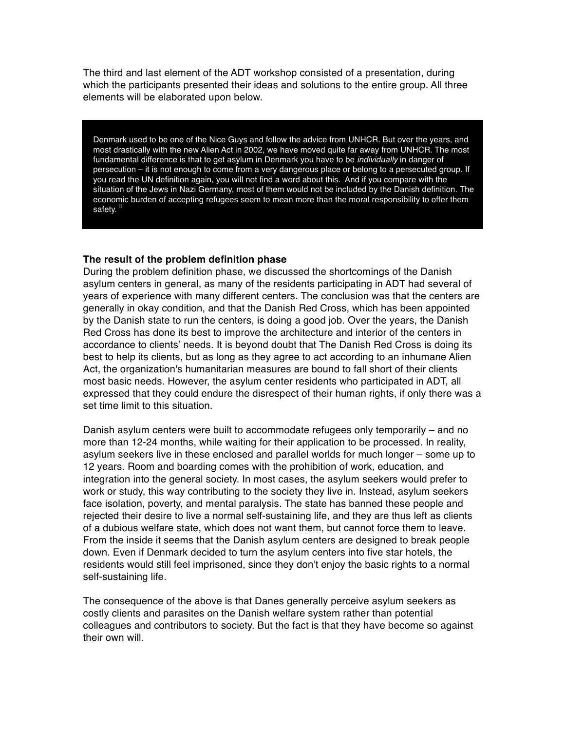The third and last element of the ADT workshop consisted of a presentation, during which the participants presented their ideas and solutions to the entire group. All three elements will be elaborated upon below.

Denmark used to be one of the Nice Guys and follow the advice from UNHCR. But over the years, and most drastically with the new Alien Act in 2002, we have moved quite far away from UNHCR. The most fundamental difference is that to get asylum in Denmark you have to be *individually* in danger of persecution – it is not enough to come from a very dangerous place or belong to a persecuted group. If you read the UN definition again, you will not find a word about this. And if you compare with the situation of the Jews in Nazi Germany, most of them would not be included by the Danish definition. The economic burden of accepting refugees seem to mean more than the moral responsibility to offer them safety.<sup>ii</sup>

#### **The result of the problem definition phase**

During the problem definition phase, we discussed the shortcomings of the Danish asylum centers in general, as many of the residents participating in ADT had several of years of experience with many different centers. The conclusion was that the centers are generally in okay condition, and that the Danish Red Cross, which has been appointed by the Danish state to run the centers, is doing a good job. Over the years, the Danish Red Cross has done its best to improve the architecture and interior of the centers in accordance to clients' needs. It is beyond doubt that The Danish Red Cross is doing its best to help its clients, but as long as they agree to act according to an inhumane Alien Act, the organization's humanitarian measures are bound to fall short of their clients most basic needs. However, the asylum center residents who participated in ADT, all expressed that they could endure the disrespect of their human rights, if only there was a set time limit to this situation.

Danish asylum centers were built to accommodate refugees only temporarily – and no more than 12-24 months, while waiting for their application to be processed. In reality, asylum seekers live in these enclosed and parallel worlds for much longer – some up to 12 years. Room and boarding comes with the prohibition of work, education, and integration into the general society. In most cases, the asylum seekers would prefer to work or study, this way contributing to the society they live in. Instead, asylum seekers face isolation, poverty, and mental paralysis. The state has banned these people and rejected their desire to live a normal self-sustaining life, and they are thus left as clients of a dubious welfare state, which does not want them, but cannot force them to leave. From the inside it seems that the Danish asylum centers are designed to break people down. Even if Denmark decided to turn the asylum centers into five star hotels, the residents would still feel imprisoned, since they don't enjoy the basic rights to a normal self-sustaining life.

The consequence of the above is that Danes generally perceive asylum seekers as costly clients and parasites on the Danish welfare system rather than potential colleagues and contributors to society. But the fact is that they have become so against their own will.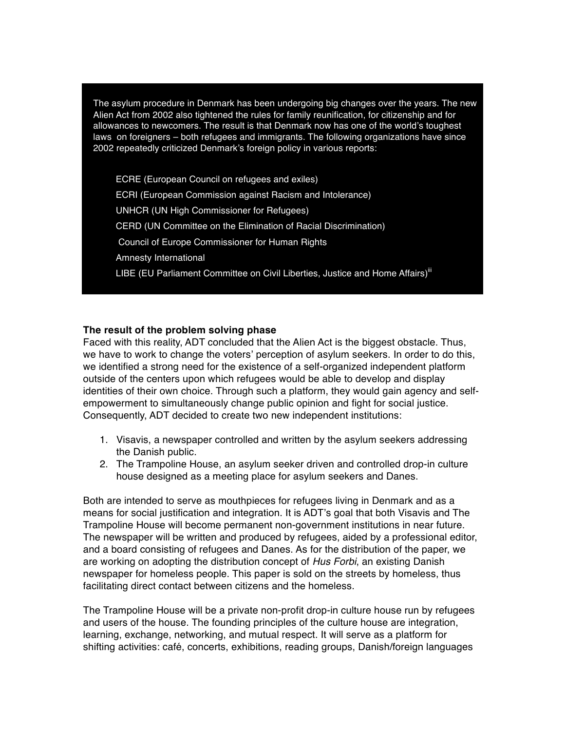The asylum procedure in Denmark has been undergoing big changes over the years. The new Alien Act from 2002 also tightened the rules for family reunification, for citizenship and for allowances to newcomers. The result is that Denmark now has one of the world's toughest laws on foreigners – both refugees and immigrants. The following organizations have since 2002 repeatedly criticized Denmark's foreign policy in various reports:

ECRE (European Council on refugees and exiles) ECRI (European Commission against Racism and Intolerance) UNHCR (UN High Commissioner for Refugees) CERD (UN Committee on the Elimination of Racial Discrimination) Council of Europe Commissioner for Human Rights Amnesty International LIBE (EU Parliament Committee on Civil Liberties, Justice and Home Affairs)<sup>iii</sup>

### **The result of the problem solving phase**

Faced with this reality, ADT concluded that the Alien Act is the biggest obstacle. Thus, we have to work to change the voters' perception of asylum seekers. In order to do this, we identified a strong need for the existence of a self-organized independent platform outside of the centers upon which refugees would be able to develop and display identities of their own choice. Through such a platform, they would gain agency and selfempowerment to simultaneously change public opinion and fight for social justice. Consequently, ADT decided to create two new independent institutions:

- 1. Visavis, a newspaper controlled and written by the asylum seekers addressing the Danish public.
- 2. The Trampoline House, an asylum seeker driven and controlled drop-in culture house designed as a meeting place for asylum seekers and Danes.

Both are intended to serve as mouthpieces for refugees living in Denmark and as a means for social justification and integration. It is ADT's goal that both Visavis and The Trampoline House will become permanent non-government institutions in near future. The newspaper will be written and produced by refugees, aided by a professional editor, and a board consisting of refugees and Danes. As for the distribution of the paper, we are working on adopting the distribution concept of *Hus Forbi*, an existing Danish newspaper for homeless people. This paper is sold on the streets by homeless, thus facilitating direct contact between citizens and the homeless.

The Trampoline House will be a private non-profit drop-in culture house run by refugees and users of the house. The founding principles of the culture house are integration, learning, exchange, networking, and mutual respect. It will serve as a platform for shifting activities: café, concerts, exhibitions, reading groups, Danish/foreign languages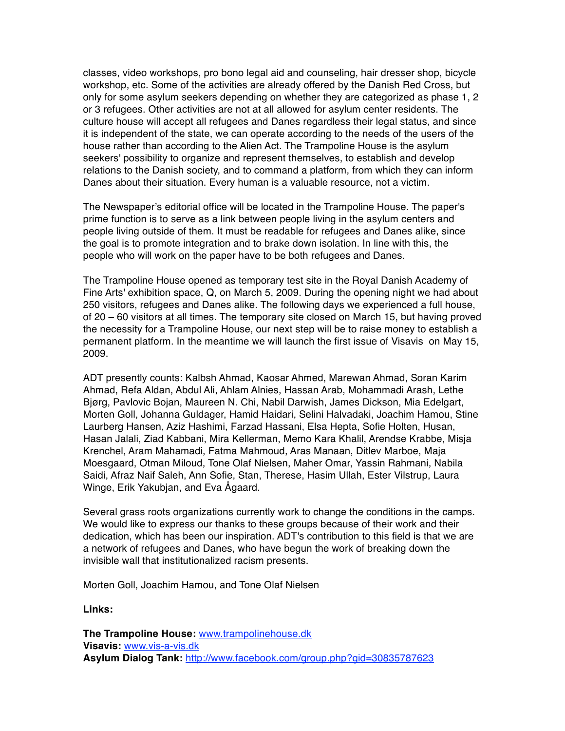classes, video workshops, pro bono legal aid and counseling, hair dresser shop, bicycle workshop, etc. Some of the activities are already offered by the Danish Red Cross, but only for some asylum seekers depending on whether they are categorized as phase 1, 2 or 3 refugees. Other activities are not at all allowed for asylum center residents. The culture house will accept all refugees and Danes regardless their legal status, and since it is independent of the state, we can operate according to the needs of the users of the house rather than according to the Alien Act. The Trampoline House is the asylum seekers' possibility to organize and represent themselves, to establish and develop relations to the Danish society, and to command a platform, from which they can inform Danes about their situation. Every human is a valuable resource, not a victim.

The Newspaper's editorial office will be located in the Trampoline House. The paper's prime function is to serve as a link between people living in the asylum centers and people living outside of them. It must be readable for refugees and Danes alike, since the goal is to promote integration and to brake down isolation. In line with this, the people who will work on the paper have to be both refugees and Danes.

The Trampoline House opened as temporary test site in the Royal Danish Academy of Fine Arts' exhibition space, Q, on March 5, 2009. During the opening night we had about 250 visitors, refugees and Danes alike. The following days we experienced a full house, of 20 – 60 visitors at all times. The temporary site closed on March 15, but having proved the necessity for a Trampoline House, our next step will be to raise money to establish a permanent platform. In the meantime we will launch the first issue of Visavis on May 15, 2009.

ADT presently counts: Kalbsh Ahmad, Kaosar Ahmed, Marewan Ahmad, Soran Karim Ahmad, Refa Aldan, Abdul Ali, Ahlam Alnies, Hassan Arab, Mohammadi Arash, Lethe Bjørg, Pavlovic Bojan, Maureen N. Chi, Nabil Darwish, James Dickson, Mia Edelgart, Morten Goll, Johanna Guldager, Hamid Haidari, Selini Halvadaki, Joachim Hamou, Stine Laurberg Hansen, Aziz Hashimi, Farzad Hassani, Elsa Hepta, Sofie Holten, Husan, Hasan Jalali, Ziad Kabbani, Mira Kellerman, Memo Kara Khalil, Arendse Krabbe, Misja Krenchel, Aram Mahamadi, Fatma Mahmoud, Aras Manaan, Ditlev Marboe, Maja Moesgaard, Otman Miloud, Tone Olaf Nielsen, Maher Omar, Yassin Rahmani, Nabila Saidi, Afraz Naif Saleh, Ann Sofie, Stan, Therese, Hasim Ullah, Ester Vilstrup, Laura Winge, Erik Yakubjan, and Eva Ågaard.

Several grass roots organizations currently work to change the conditions in the camps. We would like to express our thanks to these groups because of their work and their dedication, which has been our inspiration. ADT's contribution to this field is that we are a network of refugees and Danes, who have begun the work of breaking down the invisible wall that institutionalized racism presents.

Morten Goll, Joachim Hamou, and Tone Olaf Nielsen

**Links:** 

**The Trampoline House:** www.trampolinehouse.dk **Visavis:** www.vis-a-vis.dk **Asylum Dialog Tank:** http://www.facebook.com/group.php?gid=30835787623